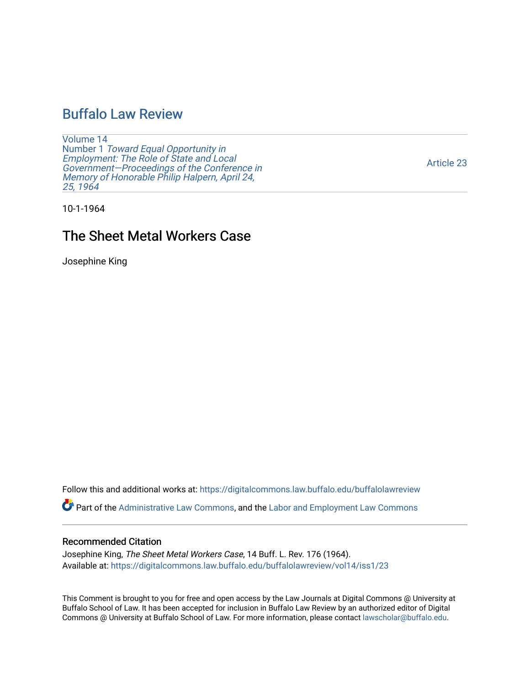# [Buffalo Law Review](https://digitalcommons.law.buffalo.edu/buffalolawreview)

[Volume 14](https://digitalcommons.law.buffalo.edu/buffalolawreview/vol14) Number 1 [Toward Equal Opportunity in](https://digitalcommons.law.buffalo.edu/buffalolawreview/vol14/iss1)  [Employment: The Role of State and Local](https://digitalcommons.law.buffalo.edu/buffalolawreview/vol14/iss1)  [Government—Proceedings of the Conference in](https://digitalcommons.law.buffalo.edu/buffalolawreview/vol14/iss1)  [Memory of Honorable Philip Halpern, April 24,](https://digitalcommons.law.buffalo.edu/buffalolawreview/vol14/iss1)  [25, 1964](https://digitalcommons.law.buffalo.edu/buffalolawreview/vol14/iss1) 

[Article 23](https://digitalcommons.law.buffalo.edu/buffalolawreview/vol14/iss1/23) 

10-1-1964

# The Sheet Metal Workers Case

Josephine King

Follow this and additional works at: [https://digitalcommons.law.buffalo.edu/buffalolawreview](https://digitalcommons.law.buffalo.edu/buffalolawreview?utm_source=digitalcommons.law.buffalo.edu%2Fbuffalolawreview%2Fvol14%2Fiss1%2F23&utm_medium=PDF&utm_campaign=PDFCoverPages) 

Part of the [Administrative Law Commons,](http://network.bepress.com/hgg/discipline/579?utm_source=digitalcommons.law.buffalo.edu%2Fbuffalolawreview%2Fvol14%2Fiss1%2F23&utm_medium=PDF&utm_campaign=PDFCoverPages) and the [Labor and Employment Law Commons](http://network.bepress.com/hgg/discipline/909?utm_source=digitalcommons.law.buffalo.edu%2Fbuffalolawreview%2Fvol14%2Fiss1%2F23&utm_medium=PDF&utm_campaign=PDFCoverPages) 

## Recommended Citation

Josephine King, The Sheet Metal Workers Case, 14 Buff. L. Rev. 176 (1964). Available at: [https://digitalcommons.law.buffalo.edu/buffalolawreview/vol14/iss1/23](https://digitalcommons.law.buffalo.edu/buffalolawreview/vol14/iss1/23?utm_source=digitalcommons.law.buffalo.edu%2Fbuffalolawreview%2Fvol14%2Fiss1%2F23&utm_medium=PDF&utm_campaign=PDFCoverPages)

This Comment is brought to you for free and open access by the Law Journals at Digital Commons @ University at Buffalo School of Law. It has been accepted for inclusion in Buffalo Law Review by an authorized editor of Digital Commons @ University at Buffalo School of Law. For more information, please contact [lawscholar@buffalo.edu](mailto:lawscholar@buffalo.edu).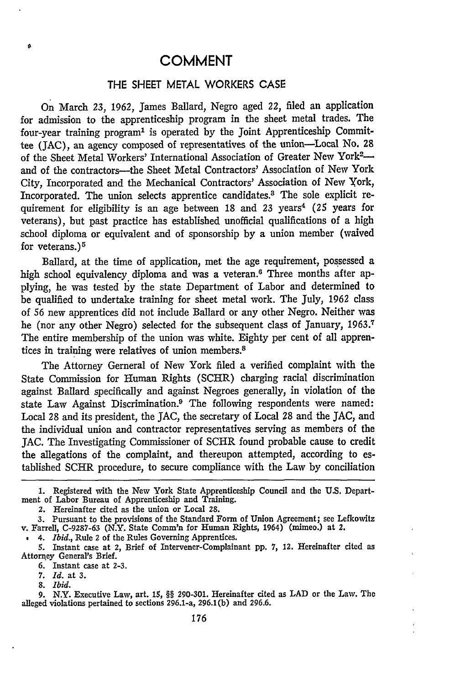#### THE SHEET METAL WORKERS CASE

On March 23, 1962, James Ballard, Negro aged 22, filed an application for admission to the apprenticeship program in the sheet metal trades. The four-year training program' is operated **by** the Joint Apprenticeship Committee (JAC), an agency composed of representatives of the union-Local No. 28 of the Sheet Metal Workers' International Association of Greater New York<sup>2</sup> and of the contractors-the Sheet Metal Contractors' Association of New York City, Incorporated and the Mechanical Contractors' Association of New York, Incorporated. The union selects apprentice candidates.3 The sole explicit requirement for eligibility is an age between **18** and 23 years *(25* years for veterans), but past practice has established unofficial qualifications of a high school diploma or equivalent and of sponsorship **by** a union member (waived for veterans.)<sup>5</sup>

Ballard, at the time of application, met the age requirement, possessed a high school equivalency diploma and was a veteran.<sup>6</sup> Three months after applying, he was tested **by** the state Department of Labor and determined to be qualified to undertake training for sheet metal work. The July, 1962 class of 56 new apprentices did not include Ballard or any other Negro. Neither was he (nor any other Negro) selected for the subsequent class of January, 1963.<sup>7</sup> The entire membership of the union was white. Eighty per cent of all apprentices in training were relatives of union members.<sup>8</sup>

The Attorney Gerneral of New York filed a verified complaint with the State Commission for Human Rights (SCHR) charging racial discrimination against Ballard specifically and against Negroes generally, in violation of the state Law Against Discrimination.9 The following respondents were named: Local 28 and its president, the JAC, the secretary of Local 28 and the JAC, and the individual union and contractor representatives serving as members of the **JAC.** The Investigating Commissioner of SCHR found probable cause to credit the allegations of the complaint, and thereupon attempted, according to established SCHR procedure, to secure compliance with the Law **by** conciliation

**1.** Registered with the New York State Apprenticeship Council and the **U.S.** Department of Labor Bureau of Apprenticeship and Training.

2. Hereinafter cited as the union or Local **28.**

**3.** Pursuant to the provisions of the Standard Form of Union Agreement; see Lefkowitz v. Farrell, **C-9287-63** (N.Y. State Comm'n for Human Rights, 1964) (mimeo.) at 2.

*4. Ibid.,* Rule 2 of the Rules Governing Apprentices.

6. Instant case at 2-3.

**7.** *Id.* at 3.

*8. Ibid.*

é

**9.** N.Y. Executive Law, art. **15,** §§ 290-301. Hereinafter cited as LAD or the Law. The alleged violations pertained to sections 296.1-a, 296.1(b) and **296.6.**

<sup>5.</sup> Instant case at 2, Brief of Intervener-Complainant **pp. 7,** 12. Hereinafter cited as Attorney General's Brief.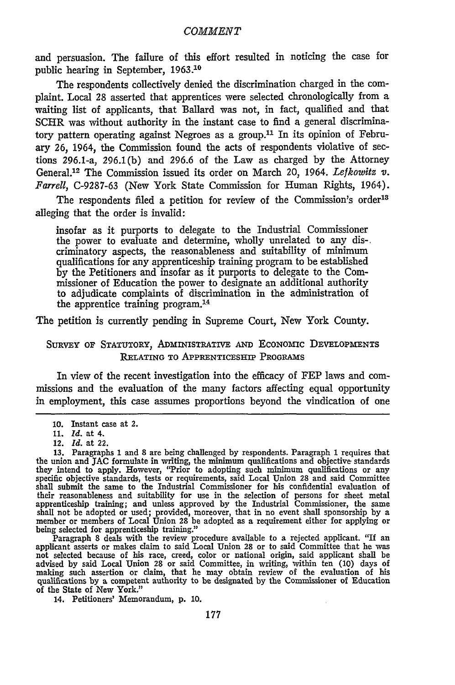and persuasion. The failure of this effort resulted in noticing the case for public hearing in September, **1963.10**

The respondents collectively denied the discrimination charged in the complaint. Local 28 asserted that apprentices were selected chronologically from a waiting list of applicants, that Ballard was not, in fact, qualified and that SCHR was without authority in the instant case to find a general discriminatory pattern operating against Negroes as a group.<sup>11</sup> In its opinion of February 26, 1964, the Commission found the acts of respondents violative of sections 296.1-a, 296.1(b) and 296.6 of the Law as charged by the Attorney General.12 The Commission issued its order on March 20, 1964. *Lefkowitz V. Farrell,* C-9287-63 (New York State Commission for Human Rights, 1964).

The respondents filed a petition for review of the Commission's order<sup>13</sup> alleging that the order is invalid:

insofar as it purports to delegate to the Industrial Commissioner the power to evaluate and determine, wholly unrelated to any dis-. criminatory aspects, the reasonableness and suitability of minimum qualifications for any apprenticeship training program to be established by the Petitioners and insofar as it purports to delegate to the Commissioner of Education the power to designate an additional authority to adjudicate complaints of discrimination in the administration of the apprentice training program. <sup>14</sup>

The petition is currently pending in Supreme Court, New York County.

### SURVEY OF STATUTORY, **ADMINISTRATIVE AND** EcONOmIC **DEVELOPMENTS RELATING TO APPRENTICESHIP PROGRAMS**

In view of the recent investigation into the efficacy of FEP laws and commissions and the evaluation of the many factors affecting equal opportunity in employment, this case assumes proportions beyond the vindication of one

being selected for apprenticeship training."<br>Paragraph 8 deals with the review procedure available to a rejected applicant. "If an<br>applicant asserts or makes claim to said Local Union 28 or to said Committee that he was advised by said Local Union 28 or said Committee, in writing, within ten (10) days of making such assertion or claim, that he may obtain review of the evaluation of his qualifications by a competent authority to be designa of the State of New York."

14. Petitioners' Memorandum, p. 10.

<sup>10.</sup> Instant case at 2. **11.** *Id.* at 4.

<sup>12.</sup> *Id.* at 22.

<sup>13.</sup> Paragraphs 1 and 8 are being challenged by respondents. Paragraph 1 requires that the union and **JAC** formulate in writing, the minimum qualifications and objective standards they intend to apply. However, 'Prior to adopting such minimum qualifications or any specific objective standards, tests or requirements, said Local Union 28 and said Committee shall submit the same to the Industrial Commissioner for his confidential evaluation of their reasonableness and suitability for use in the selection of persons for sheet metal apprenticeship training; and unless approved by the Industrial Commissioner, the same<br>shall not be adopted or used; provided, moreover, that in no event shall sponsorship by a<br>member or members of Local Union 28 be adopted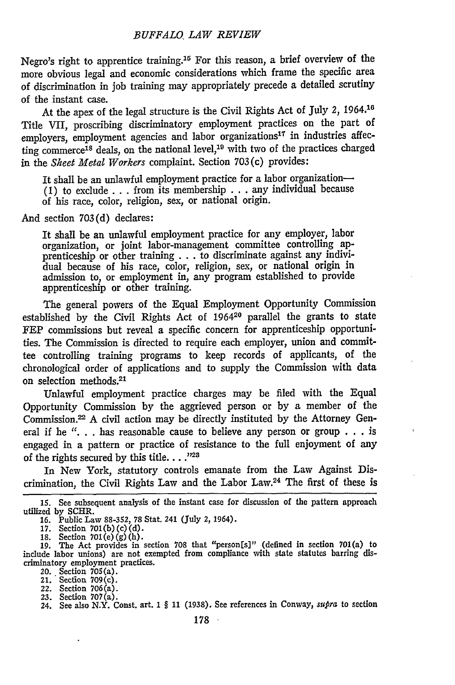Negro's right to apprentice training.15 For this reason, a brief overview of the more obvious legal and economic considerations which frame the specific area of discrimination in job training may appropriately precede a detailed scrutiny of the instant case.

At the apex of the legal structure is the Civil Rights Act of July *2,* **1964.10** Title VII, proscribing discriminatory employment practices on the part of employers, employment agencies and labor organizations<sup>17</sup> in industries affecting commerce<sup>18</sup> deals, on the national level,<sup>19</sup> with two of the practices charged in the *Skeet Metal Workers* complaint. Section 703(c) provides:

It shall be an unlawful employment practice for a labor organization-**(1)** to exclude ...from its membership ...any individual because of his race, color, religion, sex, or national origin.

And section 703(d) declares:

It shall be an unlawful employment practice for any employer, labor organization, or joint labor-management committee controlling apprenticeship or other training . . . to discriminate against any individual because of his race, color, religion, sex, or national origin in admission to, or employment in, any program established to provide apprenticeship or other training.

The general powers of the Equal Employment Opportunity Commission established by the Civil Rights Act of 196420 parallel the grants to state FEP commissions but reveal a specific concern for apprenticeship opportunities. The Commission is directed to require each employer, union and committee controlling training programs to keep records of applicants, of the chronological order of applications and to supply the Commission with data on selection methods. <sup>21</sup>

Unlawful employment practice charges may be filed with the Equal Opportunity Commission by the aggrieved person or by a member of the Commission.<sup>22</sup> A civil action may be directly instituted by the Attorney General if he "... has reasonable cause to believe any person or group ... is engaged in a pattern or practice of resistance to the full enjoyment of any of the rights secured by this title. . . .<sup>723</sup>

In New York, statutory controls emanate from the Law Against Discrimination, the Civil Rights Law and the Labor Law.24 The first of these is

**<sup>15.</sup>** See subsequent analysis of the instant case for discussion of the pattern approach utilized by SCHR.

**<sup>16.</sup>** Public Law **88-352,** 78 Stat. 241 (July 2, 1964).

<sup>17.</sup> Section 701(b)(c)(d).<br>18. Section 701(e)(g)(h).<br>19. The Act provides in section 708 that "person[s]" (defined in section 701(a) to include labor unions) are not exempted from compliance with state statutes barring discriminatory employment practices.

<sup>20.</sup> Section 705(a). 21. Section 709(c).

<sup>22.</sup> Section 706(a).

<sup>23.</sup> Section 707(a). 24. See also N.Y. Const. art. **I** § 11 (1938). See references in Conway, *supra* to section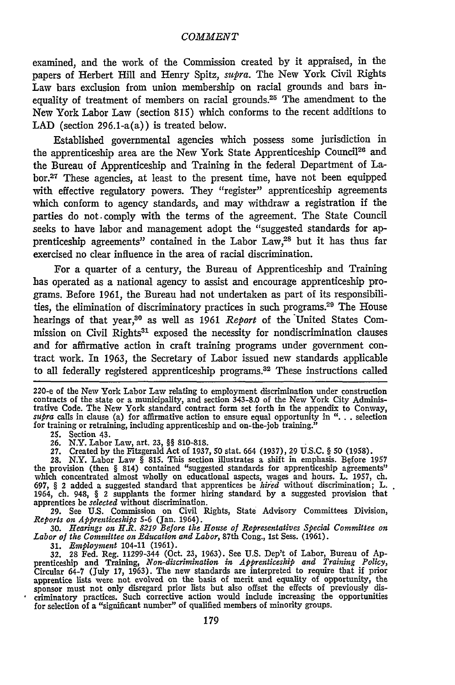examined, and the work of the Commission created **by** it appraised, in the papers of Herbert Hill and Henry Spitz, *supra.* The New York Civil Rights Law bars exclusion from union membership on racial grounds and bars inequality of treatment of members on racial grounds.25 The amendment to the New York Labor Law (section **815)** which conforms to the recent additions to **LAD** (section 296.1-a(a)) is treated below.

Established governmental agencies which possess some jurisdiction in the apprenticeship area are the New York State Apprenticeship Council<sup>26</sup> and the Bureau of Apprenticeship and Training in the federal Department of La**bor.27** These agencies, at least to the present time, have not been equipped with effective regulatory powers. They "register" apprenticeship agreements which conform to agency standards, and may withdraw a registration if the parties do not. comply with the terms of the agreement. The State Council seeks to have labor and management adopt the "suggested standards for apprenticeship agreements" contained in the Labor **Law,2 <sup>8</sup>**but it has thus far exercised no clear influence in the area of racial discrimination.

For a quarter of a century, the Bureau of Apprenticeship and Training has operated as a national agency to assist and encourage apprenticeship programs. Before **1961,** the Bureau had not undertaken as part of its responsibilities, the elimination of discriminatory practices in such programs.29 The House hearings of that **year, <sup>0</sup>**as well as **1961** *Report* of the 'United States Commission on Civil Rights<sup>31</sup> exposed the necessity for nondiscrimination clauses and for affirmative action in craft training programs under government contract work. In **1963,** the Secretary of Labor issued new standards applicable to all federally registered apprenticeship programs.32 These instructions called

220-e of the New York Labor Law relating to employment discrimination under construction contracts of the state or a municipality, and section **343-8.0** of the New York City Administrative Code. The New York standard contract form set forth in the appendix to Conway, *supra* calls in clause (a) for affirmative action to ensure equal opportunity in **"...** selection for training or retraining, including apprenticeship and on-the-job training.<sup>3</sup>

**25.** Section 43. **26.** N.Y. Labor Law, art. **23, §§ 810-818. 27.** Created **by** the Fitzgerald Act of **1937, 50** stat. 664 **(1937), 29 U.S.C. § 50 (1958).**

28. N.Y. Labor Law  $\S$  815. This section illustrates a shift in emphasis. Before 1957 the provision (then  $\S$  814) contained "suggested standards for apprenticeship agreements" which concentrated almost wholly on educatio **697, §** 2 added a suggested standard that apprentices be *hiied* without discrimination; L. 1964, ch. 948, **§** 2 supplants the former hiring standard **by** a suggested provision that apprentices be *selected* without discrimination.

**29.** See **U.S.** Commission on Civil Rights, State Advisory Committees Division, *Reports on Apprenticeships* **5-6** (Jan. 1964).

**30.** *Hearings on H.R. 8219 Before the House of Representatives Special Committee on Labor of the Committee on Bducation and Labor,* 87th Cong., **1st** Sess. **(1961).**

31. *Employment* 104-11 (1961).<br>32. 28 Fed. Reg. 11299-344 (Oct. 23, 1963). See U.S. Dep't of Labor, Bureau of Apprenticeship and Training, *Non-discrimination in Apprenticeship and Training Policy*, Circular 64-7 (July 17, **1963).** The new standards are interpreted to require that if prior apprentice lists were not evolved on the basis **of** merit and equality of opportunity, the sponsor must not only disregard prior lists **but** also offset the effects of previously discriminatory practices. Such corrective action would include increasing the opportunities for selection of a "significant number" of qualified members of minority groups.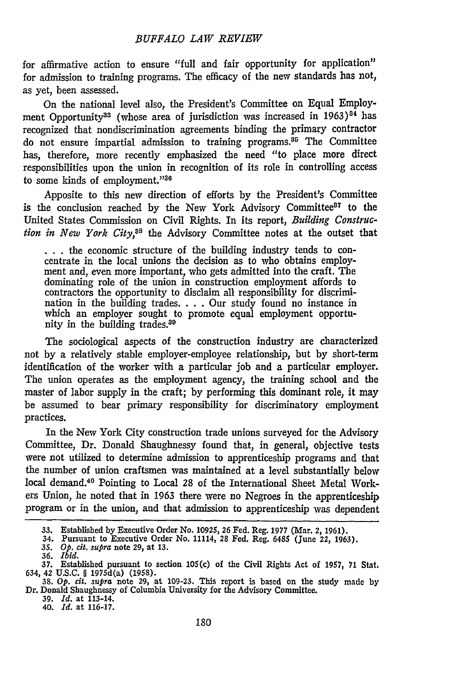for affirmative action to ensure "full and fair opportunity for application" for admission to training programs. The efficacy of the new standards has not, as yet, been assessed.

On the national level also, the President's Committee on Equal Employment Opportunity<sup>33</sup> (whose area of jurisdiction was increased in  $1963$ )<sup>84</sup> has recognized that nondiscrimination agreements binding the primary contractor do not ensure impartial admission to training programs.<sup>85</sup> The Committee has, therefore, more recently emphasized the need "to place more direct responsibilities upon the union in recognition of its role in controlling access to some kinds of employment."36

Apposite to this new direction of efforts by the President's Committee is the conclusion reached by the New York Advisory Committee<sup>87</sup> to the United States Commission on Civil Rights. In its report, *Building Construction in New York City,85* the Advisory Committee notes at the outset that

**\* . .** the economic structure of the building industry tends to concentrate in the local unions the decision as to who obtains employment and, even more important, who gets admitted into the craft. The dominating role of the union in construction employment affords to contractors the opportunity to disclaim all responsibility for discrimination in the building trades. . . Our study found no instance in which an employer sought to promote equal employment opportunity in the building trades.<sup>39</sup>

The sociological aspects of the construction industry are characterized not **by** a relatively stable employer-employee relationship, but **by** short-term identification of the worker with a particular job and a particular employer. The union operates as the employment agency, the training school and the master of labor supply in the craft; **by** performing this dominant role, it may be assumed to bear primary responsibility for discriminatory employment practices.

In the New York City construction trade unions surveyed for the Advisory Committee, Dr. Donald Shaughnessy found that, in general, objective tests were not utilized to determine admission to apprenticeship programs and that the number of union craftsmen was maintained at a level substantially below local demand.40 Pointing to Local 28 of the International Sheet Metal Workers Union, he noted that in 1963 there were no Negroes in the apprenticeship program or in the union, and that admission to apprenticeship was dependent

39. *Id.* at 113-14. 40. *Id.* at 116-17.

**<sup>33.</sup>** Established by Executive Order No. 10925, **26** Fed. Reg. 1977 (Mar. 2, 1961). 34. Pursuant to Executive Order No. 11114, **28** Fed. Reg. 6485 (June 22, 1963).

**<sup>35.</sup>** *Op. cit.* supra note 29, at **13.** 36. *Ibid.*

**<sup>37.</sup>** Established pursuant to section 105(c) of the Civil Rights Act of **1957,** 71 Stat. 634, 42 **U.S.C.** § 1975d(a) **(1958).**

**<sup>38.</sup>** *Op. cit. supra* note 29, at 109-23. This report is based on the study made by Dr. Donald Shaughnessy of Columbia University for the Advisory Committee.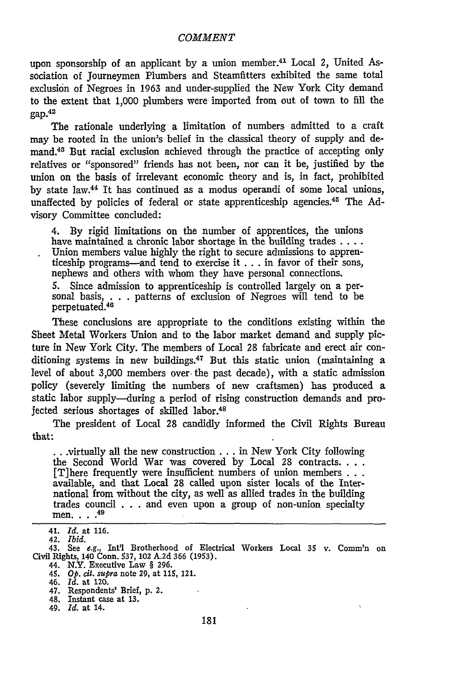upon sponsorship of an applicant **by** a union member.41 Local *2,* United Association of Journeymen Plumbers and Steamfitters exhibited the same total exclusion of Negroes in **1963** and under-supplied the New York City demand to the extent that **1,000** plumbers were imported from out of town to **fill** the  $\text{gap}^{42}$ 

The rationale underlying a limitation of numbers admitted to a craft may be rooted in the union's belief in the classical theory of supply and demand.48 But racial exclusion achieved through the practice of accepting only relatives or "sponsored" friends has not been, nor can it be, justified **by** the union on the basis of irrelevant economic theory and is, in fact, prohibited **by** state law.44 It has continued as a modus operandi of some local unions, unaffected by policies of federal or state apprenticeship agencies.<sup>45</sup> The Advisory Committee concluded:

4. **By** rigid limitations on the number of apprentices, the unions have maintained a chronic labor shortage in the building trades **....** Union members value **highly** the right to secure admissions to apprenticeship programs-and tend to exercise it **...** in favor of their sons, nephews and others with whom they have personal connections. **5.** Since admission to apprenticeship is controlled largely on a personal basis, . . . patterns of exclusion of Negroes will tend to be perpetuated.<sup>46</sup>

These conclusions are appropriate to the conditions existing within the Sheet Metal Workers Union and to the labor market demand and supply picture in New York City. The members of Local **28** fabricate and erect air conditioning systems in new buildings.<sup>47</sup> But this static union (maintaining a level of about **3,000** members over-the past decade), with a static admission policy (severely limiting the numbers of new craftsmen) has produced a static labor supply-during a period of rising construction demands and projected serious shortages of skilled labor.<sup>48</sup>

The president of Local **28** candidly informed the Civil Rights Bureau that:

.virtually all the new construction... in New York City following **the** Second World War was covered **by** Local **28** contracts **...** [T]here frequently were insufficient numbers of union members **. . .** available, and that Local 28 called upon sister locals of the International from without the city, as well as allied trades in the building trades council **. . .** and even upon a group of non-union specialty men. **.... 49**

<sup>41.</sup> *Id.* at **116.**

<sup>42.</sup> *Ibid.*

<sup>43.</sup> See e.g., Int'l Brotherhood of Electrical Workers Local **35** v. Comm'n on Civil Rights, 140 Conn. **537,** 102 **A.2d 366 (1953).**

<sup>44.</sup> N.Y. Executive Law **§ 296.** *45. Op. cit. supra* note **29,** at **115,** 121.

<sup>46.</sup> *Id.* at 120.

<sup>47.</sup> Respondents' Brief, **p.** 2.

<sup>48.</sup> Instant case at **13.**

<sup>49.</sup> *Id.* at 14.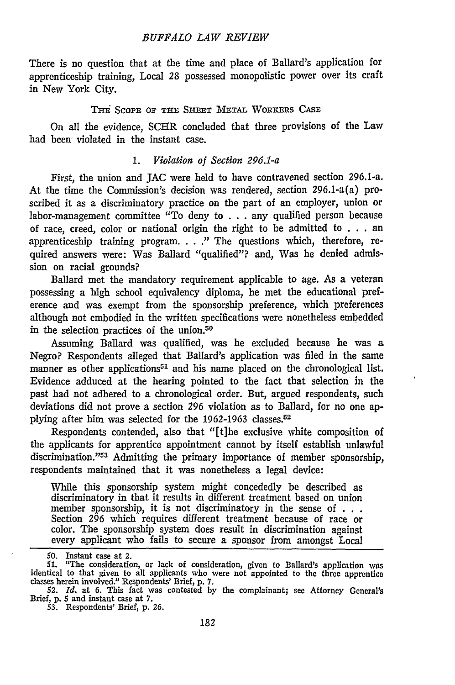#### *BUFFALO LAW REVIEW*

There is no question that at the time and place of Ballard's application for apprenticeship training, Local 28 possessed monopolistic power over its craft in New York City.

#### TB: **SCOPE** OF THE **SHEET** METAL WORKERS **CASE**

On all the evidence, SCHR concluded that three provisions of the Law had been violated in the instant case.

#### 1. *Violation of Section 296.1-a*

First, the union and JAC were held to have contravened section 296.1-a. At the time the Commission's decision was rendered, section 296.1-a(a) proscribed it as a discriminatory practice on the part of an employer, union or labor-management committee "To deny to . . . any qualified person because of race, creed, color or national origin the right to be admitted to . . . an apprenticeship training program. . . **."** The questions which, therefore, required answers were: Was Ballard "qualified"? and, Was he denied admission on racial grounds?

Ballard met the mandatory requirement applicable to age. As a veteran possessing a high school equivalency diploma, he met the educational preference and was exempt from the sponsorship preference, which preferences although not embodied in the written specifications were nonetheless embedded in the selection practices of the union.<sup>50</sup>

Assuming Ballard was qualified, was he excluded because he was a Negro? Respondents alleged that Ballard's application was filed in the same manner as other applications<sup>51</sup> and his name placed on the chronological list. Evidence adduced at the hearing pointed to the fact that selection in the past had not adhered to a chronological order. But, argued respondents, such deviations did not prove a section *296* violation as to Ballard, for no one applying after him was selected for the 1962-1963 classes.<sup>52</sup>

Respondents contended, also that "[t]he exclusive white composition of the applicants for apprentice appointment cannot by itself establish unlawful discrimination."53 Admitting the primary importance of member sponsorship, respondents maintained that it was nonetheless a legal device:

While this sponsorship system might concededly be described as discriminatory in that it results in different treatment based on union member sponsorship, it is not discriminatory in the sense of  $\dots$ Section 296 which requires different treatment because of race or color. The sponsorship system does result in discrimination against every applicant who fails to secure a sponsor from amongst Local

**<sup>50.</sup>** Instant case at 2.

<sup>51. &</sup>quot;The consideration, or lack of consideration, given to Ballard's application was<br>identical to that given to all applicants who were not appointed to the three apprentice<br>classes herein involved." Respondents' Brief, p.

<sup>52.</sup> *Id.* at 6. This fact was contested by the complainant; see Attorney General's Brief, **p. 5 and instant case at 7.**<br>53. Respondents' Brief, **p. 26.**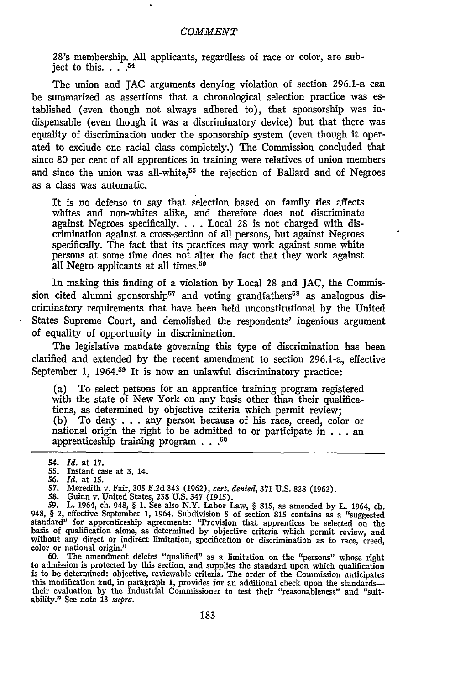28's membership. **All** applicants, regardless of race or color, are subject to this.  $\ldots$ <sup>54</sup>

The union and **JAC** arguments denying violation of section 296.1-a can be summarized as assertions that a chronological selection practice was established (even though not always adhered to), that sponsorship was indispensable (even though it was a discriminatory device) but that there was equality of discrimination under the sponsorship system (even though it operated to exclude one racial class completely.) The Commission concluded that since **80** per cent of all apprentices in training were relatives of union members and since the union was all-white,<sup>55</sup> the rejection of Ballard and of Negroes as a class was automatic.

It is no defense to say that selection based on family ties affects whites and non-whites alike, and therefore does not discriminate against Negroes specifically. **. . .** Local **28** is not charged with discrimination against a cross-section of all persons, but against Negroes specifically. The fact that its practices may work against some white persons at some time does not alter the fact that they work against all Negro applicants at all times.<sup>56</sup>

In making this finding of a violation **by** Local **28** and **JAC,** the Commission cited alumni sponsorship<sup>57</sup> and voting grandfathers<sup>58</sup> as analogous discriminatory requirements that have been held unconstitutional **by** the United States Supreme Court, and demolished the respondents' ingenious argument of equality of opportunity in discrimination.

The legislative mandate governing this type of discrimination has been clarified and extended **by** the recent amendment to section 296.1-a, effective September 1, 1964.<sup>59</sup> It is now an unlawful discriminatory practice:

(a) To select persons for an apprentice training program registered with the state of New York on any basis other than their qualifications, as determined **by** objective criteria which permit review; **(b)** To deny **. . .** any person because of his race, creed, color or national origin the right to be admitted to or participate in **. . .** an apprenticeship training program **. . .60**

- 
- **56.** *Id.* at **15. 57.** Meredith v. Fair, **305 F.2d** 343 **(1962),** *cert. denied,* **371 U.S. 828 (1962).**
- 

**58.** Guinn v. United States, **238 U.S.** 347 **(1915). 59.** L. 1964, **ch.** 948, **§ 1.** See also N.Y. Labor Law, **§ 815,** as amended **by** L. 1964, **ch.** 948, **§** 2, effective September **1,** 1964. Subdivision **5** of section **815** contains as a "suggested standard" for apprenticeship agreements: "Provision that apprentices be selected on the basis of qualification alone, as determined **by** objective criteria which permit review, and without any direct or indirect limitation, specification or discrimination as to race, creed, color or national origin."

60. The amendment deletes "qualified" as a limitation on the "persons" whose righ to admission is protected by this section, and supplies the standard upon which qualification<br>is to be determined: objective, reviewable criteria. The order of the Commission anticipates<br>this modification and, in paragraph this modification and, in paragraph 1, provides for an additional check upon the standards—<br>their evaluation by the Industrial Commissioner to test their "reasonableness" and "suitability." See note **13** *supra.*

<sup>54.</sup> *Id.* at **17.**

*<sup>55.</sup>* Instant case at **3,** 14.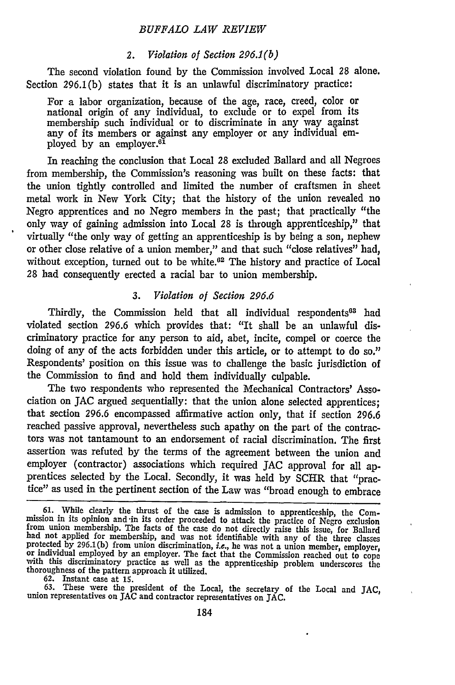#### *BUFFALO LAW REVIEW*

#### *2. Violation of Section 296.1(b)*

The second violation found by the Commission involved Local **28** alone. Section 296.1(b) states that it is an unlawful discriminatory practice:

For a labor organization, because of the age, race, creed, color or national origin of any individual, to exclude or to expel from its membership such individual or to discriminate in any way against any of its members or against any employer or any individual employed by an employer.<sup>61</sup>

In reaching the conclusion that Local 28 excluded Ballard and all Negroes from membership, the Commission's reasoning was built on these facts: that the union tightly controlled and limited the number of craftsmen in sheet metal work in New York City; that the history of the union revealed no Negro apprentices and no Negro members in the past; that practically "the only way of gaining admission into Local **28** is through apprenticeship," that virtually "the only way of getting an apprenticeship is by being a son, nephew or other close relative of a union member," and that such "close relatives" had, without exception, turned out to be white.<sup>62</sup> The history and practice of Local 28 had consequently erected a racial bar to union membership.

#### *3. Violation of Section 296.6*

Thirdly, the Commission held that all individual respondents<sup>63</sup> had violated section 296.6 which provides that: "It shall be an unlawful discriminatory practice for any person to aid, abet, incite, compel or coerce the doing of any of the acts forbidden under this article, or to attempt to do so." Respondents' position on this issue was to challenge the basic jurisdiction of the Commission to find and hold them individually culpable.

The two respondents who represented the Mechanical Contractors' Association on JAC argued sequentially: that the union alone selected apprentices; that section 296.6 encompassed affirmative action only, that if section 296.6 reached passive approval, nevertheless such apathy on the part of the contractors was not tantamount to an endorsement of racial discrimination. The first assertion was refuted by the terms of the agreement between the union and employer (contractor) associations which required **JAC** approval for all apprentices selected by the Local. Secondly, it was held by SCHR that "practice" as used in the pertinent section of the Law was "broad enough to embrace

63. These were the president of the Local, the secretary of the Local and JAC, union representatives on **JAC** and contractor representatives on **JAC.**

**<sup>61.</sup>** While dearly the thrust of the case is admission to apprenticeship, the Commission in its opinion and in its order proceeded to attack the practice of Negro exclusion<br>from union membership. The facts of the case do not directly raise this issue, for Ballarc<br>had not applied for membership, and was protected by 296.1(b) from union discrimination, *i.e.*, he was not a union member, employer, or individual employed by an employer. The fact that the Commission reached out to cope with this discriminatory practice as wel thoroughness of the pattern approach it utilized.

<sup>62.</sup> Instant case at **1s.**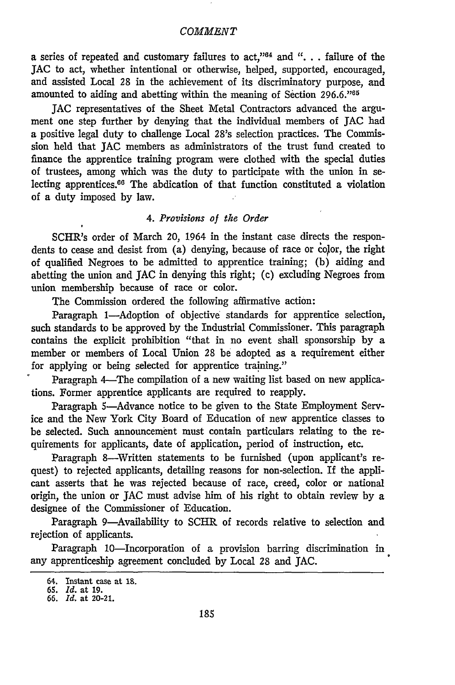a series of repeated and customary failures to act,"<sup>64</sup> and ". . . failure of the **JAC** to act, whether intentional or otherwise, helped, supported, encouraged, and assisted Local 28 in the achievement of its discriminatory purpose, and amounted to aiding and abetting within the meaning of Section  $296.6$ .<sup>165</sup>

**JAC** representatives of the Sheet Metal Contractors advanced the argument one step further by denying that the individual members of **JAC** had a positive legal duty to challenge Local 28's selection practices. The Commission held that **JAC** members as administrators of the trust fund created to finance the apprentice training program were clothed with the special duties of trustees, among which was the duty to participate with the union in selecting apprentices. $66$  The abdication of that function constituted a violation of a duty imposed **by** law.

### *4. Provisions of the Order*

SCHR's order of March 20, 1964 in the instant case directs the respondents to cease and desist from (a) denying, because of race or color, the right of qualified Negroes to be admitted to apprentice training; (b) aiding and abetting the union and **JAC** in denying this right; (c) excluding Negroes from union membership because of race or color.

The Commission ordered the following affirmative action:

Paragraph 1-Adoption of objective standards for apprentice selection, such standards to be approved by the Industrial Commissioner. This paragraph contains the explicit prohibition "that in no event shall sponsorship by a member or members of Local Union 28 be adopted as a requirement either for applying or being selected for apprentice training."

Paragraph 4-The compilation of a new waiting list based on new applications. Former apprentice applicants are required to reapply.

Paragraph 5-Advance notice to be given to the State Employment Service and the New York City Board of Education of new apprentice classes to be selected. Such announcement must contain particulars relating to the requirements for applicants, date of application, period of instruction, etc.

Paragraph 8-Written statements to be furnished (upon applicant's request) to rejected applicants, detailing reasons for non-selection. If the applicant asserts that he was rejected because of race, creed, color or national origin, the union or **JAC** must advise him of his right to obtain review by a designee of the Commissioner of Education.

Paragraph 9-Availability to SCHR of records relative to selection and rejection of applicants.

Paragraph 10-Incorporation of a provision barring discrimination in any apprenticeship agreement concluded by Local 28 and JAC.

**<sup>64.</sup>** Instant case at **18.**

*<sup>65.</sup> Id.* at **19.** *66. Id.* at 20-21.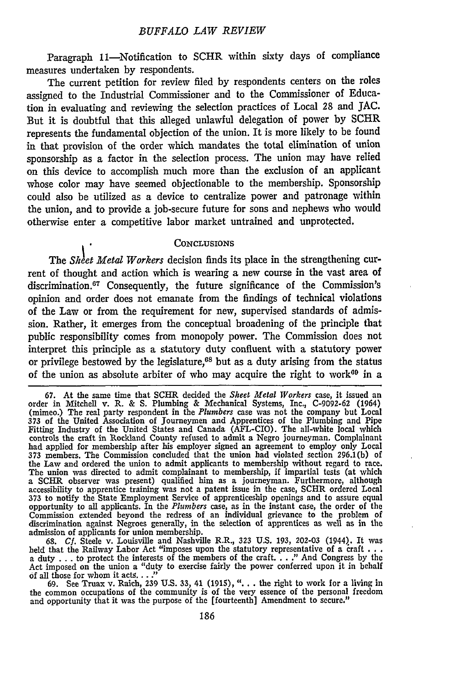Paragraph 11-Notification to SCHR within sixty days of compliance measures undertaken by respondents.

The current petition for review filed by respondents centers on the roles assigned to the Industrial Commissioner and to the Commissioner of Education in evaluating and reviewing the selection practices of Local 28 and JAC. But it is doubtful that this alleged unlawful delegation of power by SCHR represents the fundamental objection of the union. It is more likely to be found in that provision of the order which mandates the total elimination of union sponsorship as a factor in the selection process. The union may have relied on this device to accomplish much more than the exclusion of an applicant whose color may have seemed objectionable to the membership. Sponsorship could also be utilized as a device to centralize power and patronage within the union, and to provide a job-secure future for sons and nephews who would otherwise enter a competitive labor market untrained and unprotected.

#### **CONCLUSIONS**

The *Sheet Metal Workers* decision finds its place in the strengthening current of thought and action which is wearing a new course in the vast area of discrimination.<sup>67</sup> Consequently, the future significance of the Commission's opinion and order does not emanate from the findings of technical violations of the Law or from the requirement for new, supervised standards of admission. Rather, it emerges from the conceptual broadening of the principle that public responsibility comes from monopoly power. The Commission does not interpret this principle as a statutory duty confluent with a statutory power or privilege bestowed by the legislature, $68$  but as a duty arising from the status of the union as absolute arbiter of who may acquire the right to work<sup> $60$ </sup> in a

**68.** *Cf.* Steele v. Louisville and Nashville R.R., 323 U.S. 193, 202-03 (1944). It was held that the Railway Labor Act "imposes upon the statutory representative of a raft ... a duty ... to protect the interests of the members of the craft. . . **."** And Congress by the Act imposed on the union a "duty to exercise fairly the power conferred upon it in behalf of all those for whom it acts..."<br>69. See Truax v. Raich, 239 U.S. 33, 41 (1915), "... the right to work for a living in

the common occupations of the community is of the very essence of the personal freedom and opportunity that it was the purpose of the [fourteenth] Amendment to secure."

**<sup>67.</sup>** At the same time that SCHR decided the *Sheet Metal Workers* case, it issued an order in Mitchell v. R. & S. Plumbing & Mechanical Systems, Inc., C-9092-62 (1964) (mimeo.) The real party respondent in the *Plumbers* case was not the company but Local 373 of the United Association of Journeymen and Apprentices of the Plumbing and Pipe Fitting Industry of the United States and Canada (AFL-CIO). The all-white local which controls the craft in Rockland County refused to admit a Negro journeyman. Complainant had applied for membership after his employer signed an agreement to employ only Local 373 members. The Commission concluded that the union had violated section 296.1(b) of the Law and ordered the union to admit applicants to membership without regard to race.<br>The union was directed to admit complainant to membership, if impartial tests (at which a SCHR observer was present) qualified him as a journeyman. Furthermore, although accessibility to apprentice training was not a patent issue in the case, SCHR ordered Local 373 to notify the State Employment Service of apprenticeship openings and to assure equal opportunity to all applicants. In the *Plumbers* case, as in the instant case, the order of the Commission extended beyond the redress of an individual grievance to the problem of discrimination against Negroes generally, in the selection of apprentices as well as in the admission of applicants for union membership.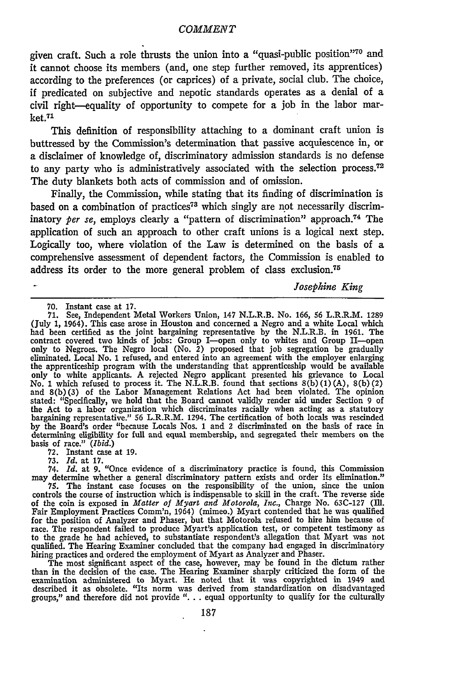given craft. Such a role thrusts the union into a "quasi-public position"70 and it cannot choose its members (and, one step further removed, its apprentices) according to the preferences (or caprices) of a private, social club. The choice, if predicated on subjective and nepotic standards operates as a denial of a civil right-equality of opportunity to compete for a job in the labor market.<sup>71</sup>

This definition of responsibility attaching to a dominant craft union is buttressed by the Commission's determination that passive acquiescence in, or a disclaimer of knowledge of, discriminatory admission standards is no defense to any party who is administratively associated with the selection process.<sup>72</sup> The duty blankets both acts of commission and of omission.

Finally, the Commission, while stating that its finding of discrimination is based on a combination of practices<sup>73</sup> which singly are not necessarily discriminatory *per se*, employs clearly a "pattern of discrimination" approach.<sup>74</sup> The application of such an approach to other craft unions is a logical next step. Logically too, where violation of the Law is determined on the basis of a comprehensive assessment of dependent factors, the Commission is enabled to address its order to the more general problem of class exclusion.<sup>75</sup>

*Josephine King*

**70.** Instant case at **17. 71.** See, Independent Metal Workers Union, 147 N.L.R.B. No. 166, 56 L.R.R.M. 1289 (July 1, 1964). This case arose in Houston and concerned a Negro and a white Local which had been certified as the joint bargaining representative by the N.L.R.B. in 1961. The contract covered two kinds of jobs: Group I—open only to whites and Group II—open only to Negroes. The Negro local (No. 2) proposed tha eliminated. Local No. 1 refused, and entered into an agreement with the employer enlarging the apprenticeship program with the understanding that apprenticeship would be available only to white applicants. A rejected Negro applicant presented his grievance to Local No. 1 which refused to process it. The N.L.R.B. found that sections 8(b) (1) (A), 8(b)(2) and 8(b)(3) of the Labor Management Relations Act had been violated. The opinion stated: "Specifically, we hold that the Board cannot validly render aid under Section 9 of the Act to a labor organization which discriminates racially when acting as a statutory bargaining representative." 56 L.R.R.M. 1294. The certification of both locals was rescinded **by** the Board's order "because Locals Nos. 1 and 2 discriminated on the basis of race in determining eligibility for full and equal membership, and segregated their members on the basis of race." *(Ibid.)*

72. Instant case at 19. 73. *Id.* at 17. 74. *Id.* at 9. "Once evidence of a discriminatory practice is found, this Commission may determine whether a general discriminatory pattern exists and order its elimination."

**75.** The instant case focuses on the responsibility of the union, since the union controls the course of instruction which is indispensable to skill in the craft. The reverse side of the coin is exposed in *Matter of Myart and Motorola, Inc.*, Charge No. 63C-127 (Ill.)<br>Fair Employment Practices Comm'n, 1964) (mimeo.) Myart contended that he was qualified for the position of Analyzer and Phaser, but that Motorola refused to hire him because of<br>race. The respondent failed to produce Myart's application test, or competent testimony as<br>to the grade he had achieved, to substant qualified. The Hearing Examiner concluded that the company had engaged in discriminatory hiring practices and ordered the employment of Myart as Analyzer and Phaser.

The most significant aspect of the case, however, may be found in the dictum rather than in the decision of the case. The Hearing Examiner sharply criticized the form of the examination administered to Myart. He noted that it was copyrighted in 1949 and described it as obsolete. "Its norm was derived from standardization on disadvantaged groups," and therefore did not provide ". **.** . equal opportunity to qualify for the culturally